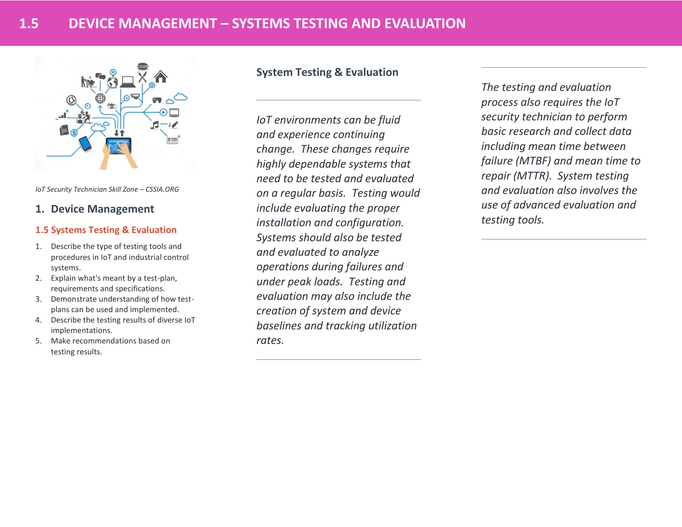

*IoT Security Technician Skill Zone – CSSIA.ORG*

## **1. Device Management**

## **1.5 Systems Testing & Evaluation**

- 1. Describe the type of testing tools and procedures in IoT and industrial control systems.
- 2. Explain what's meant by a test-plan, requirements and specifications.
- 3. Demonstrate understanding of how testplans can be used and implemented.
- 4. Describe the testing results of diverse IoT implementations.
- 5. Make recommendations based on testing results.

## **System Testing & Evaluation**

*IoT environments can be fluid and experience continuing change. These changes require highly dependable systems that need to be tested and evaluated on a regular basis. Testing would include evaluating the proper installation and configuration. Systems should also be tested and evaluated to analyze operations during failures and under peak loads. Testing and evaluation may also include the creation of system and device baselines and tracking utilization rates.*

*The testing and evaluation process also requires the IoT security technician to perform basic research and collect data including mean time between failure (MTBF) and mean time to repair (MTTR). System testing and evaluation also involves the use of advanced evaluation and testing tools.*